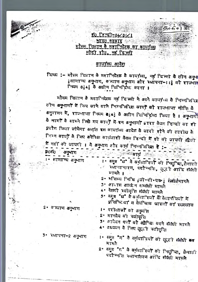80 PE=01-84/86/1 **PIRE AREIT** <u>घोस्स, विनान के महानिदेश्य का कार्यालय</u> प्रोडी रौड़, नई दिल्ली

 $30 + 9$ 

# <u>कायाल्य बादेश</u>

विष्य :- मौस्म विज्ञान के महानिदेश्य के कार्यालय, नहूं दिल्लों के तीन अनुभा हसामान्य अनुभाग, कल्याण अनुभाग और स्थापना-118 को राजभाष न्सिम 8}4} के अधीन विनिर्दिष्ट करना ।

मौरम विज्ञान के मदानिदेश्य नई दिल्ली ने अपने कार्यालय के निम्नलिखि तीन बनुभागों में किए जाने वाले निम्नलिखित कार्यों को राजभाषा नीति के अनुपालन में, राजनापा नियम 8141 के अधीन विनिद्धि किया है। अनुभागों कै नामों वे सामने लिखे गए कायाँ में इन अनुभागों द्वारा केवल रिन्दी का ही प्रयोग क्यिंग जोयेगा अर्थात इस कार्याल्य आदेश के जारी होने की <mark>तारीख से</mark> निस्त कार्यों के लिए बपैदिहा कार्यवाही कैवल हिन्दी में ही की जाएगी अंग्रेजी में नहीं की जाएगी । ये अनुभाग और कार्य निम्नलिखित हैं :-

50सं0 अनुभाग ंग्वायं अ <sup>,</sup> सामान्य अनुभाग । समूह "ध" वे कर्मचारियाँ की निम्पुलि, तैनाती ः स्थानान्तरण, पदौन्नति, छूटी आदि संबंधी मानले । 2• भविष्य निनिध (जी•पी•एफ•) रंश्लीधीमामले 3• आवास बाकेन सम्बंधी मामले 4. पेशगी स्वीकृति संबंधी मामले 5• स्मूह "घ" के बर्मवालियों की स्वापंज्यों में प्रविष्टिया व वैयक्ति फाइलों का रखरखाव 2• वायाण अनुभाग

- ।• परीक्षाबाँ को अनुमति
- 2• मानदेय की रवीकृति
- 3. आवेदन पत्रों को अग्रेजित करने संबंधी मामले
- 4. अध्ययन के लिए छूटनी स्वीकृति

।• समूह "ग" के कर्मचारियाँ की छूट<del>ी सं</del>क्षधी <del>का</del> मामल

- 2• समूह "ग" के कर्मचारियाँ की नियुंग्कित, सैनाती पदौल्नति स्थानातिरण आदि सैवंधी मामले
- 3• स्थापना-2 अनुभाग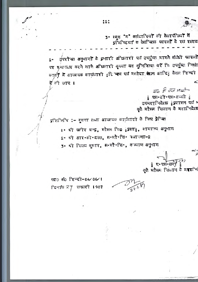3• स्मूह "ग" कर्मदारियाँ की स्वापज्याँ में प्रतिष्टिया व देयक्तिक फाइलों के रस रसाव

पंपरोक्त बनुभागों के प्रभारी अधिकारी पर्व उपर्युक्त मामले संबंधी फाइलों  $\mathbf{z}$ . पर इन्तादार करने वाले अधिकारी कृपया यह सुनिशिक्त करें कि उपर्युक्त निर्धा कार्ट्रों में बाव्ययक कार्यवाही <sub>ई</sub>टिप्पण एवं मलोदा<sub>ं</sub> केउन जादि<sub>ई</sub> कैवल हिन्दी दें लीजाए । cñ

 $\overline{M}_{44}$   $\overline{5}$   $\overline{44}$   $\overline{100}$ है एस•टी एस अब्बी है उपमहानिदेशक हुप्रशासन एवं भ कूते मोस्म दिलान के महानिदेश

प्रतिलिपि :- सुबना तथा आकायक कार्यदाशी के लिए प्रेफ्ति

- 1. भी फलीर चन्द्र, मोसम दि0 उप्रशार् लामान्य अनुभाग
- 2• श्री बार•ती•दत्त, स•मौ•वि• स्थापना-2
- 3. श्री दिजय बुमार, स.मौ-दि., कत्याण अनुभाग

≬ ए∙ एस•वम दूते मौसम विज्ञान के महानेन

फ़ा0 सं0 हिन्दी-84/86/1 दिनांके 27 जनवरी 1987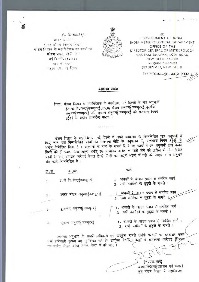सं. हि. 84/86/1 भारत सरकार भारत मौनम विज्ञान विभाग मोंसम विज्ञान के महानिदेशक का कार्यालय मौसम भवत, लोदी रोज नई दिल्ली-११०००३ तार का पता : महामौनम, नई दिल्ला



NO. GOVERNMENT OF INDIA INDIA METEOROLOGICAL DEPARTMENT OFFICE OF THE DIRECTOR GENERAL OF METEOROLOGY MAUSAM BHAVAN, LODI ROAD. **NEW DELHI-110003 Telegraphic Address** DIRGENMET, NEW DELHI

दिनोक/Date...20.. अ**प**स्त 2002

# कार्यालय आदेश

विषय: मौसम विज्ञान के महानिदेशक के कार्यालय, नई दिल्ली के चार अनुभागों ≬उ. गो. वि. केन्द्र≬कम्प्यूटर≬, उपग्रह मौसम अनुभाग≬कम्प्यूटर≬, दूरसंचार अनुभाग≬कम्प्यूटर) और भूकम्प अनुभाग कम्प्यूटर) को राजभाषा नियम 8141 के अधीन विनिर्दिष्ट करना ।

मौसम विज्ञान के महानिदेशक, नई दिल्ली ने अपने कार्यालय के निम्नलिखित चार अनुभागों में किए जाने वाले निम्नलिखित कार्यों को राजभाषा नीति के अनुपालन में, राजभाषा नियम 8141 के अधी<u>न विनिर्दिष्ट</u> किया है । अनुभागों के नामों के सामने लिखे गए कार्यों में इन अनुभागों द्वारा केवल हिन्दी को ही प्रयोग किया जाएगा अर्थात् इस कार्यालय आदेश के जारी होने की तारीख से निम्नलिखित कार्यों के लिए अपेक्षित कार्रवाई केवल हिन्दी में ही की जाएगी अंग्रेजी में नहीं की जाएगी । ये अनुभाग और कार्य निम्नलिखित हैं:

#### क्र.स. अनुभाग

 $1.$ 

2.

 $\mathbf{R}$ 

1. ऑफड़ों के आदान प्रदान से संबंधित कार्य 2. सभी कार्मिकों के छुट्टी के मामले ।

काये

1. ऑॅंकड़ों के आदान प्रदान से संबंधित कार्य 2. सभी कार्मिकों के छुट्टी के मामले ।

1. ऑॅंकड़ों के आदान प्रदान से संबंधित कार्य। 2. सभी कार्मिकों के छुट्टी के मामले ।

1. ऑकड़ों के आदान प्रदान से संबंधित कार्य। 2. सभी कार्मिकों के छुट्टी के मामले ।

उ.गो.वि.केन्द्र≬कम्प्यूटर≬

उपग्रह मौसम अनुभाग≬कम्प्यूटर)

दूरसंचार अनुभाग≬कम्प्यूटर≬

भूकम्प अनुभाग≬कम्प्यूटर≬ 4.

उपरोक्त अनुभागों के प्रभारी अधिकारी एवं उपर्युक्त मामले संबंधी फाइलों पर हस्ताक्षर करने वाले अधिकारी कृपया यह सुनिश्चित करें कि उपर्युक्त निर्धारित कार्यों में आवश्यक कार्रवाई ≬टिप्प्रण एवं मसौदा लेखन आदि≬ केवल हिन्दी में की जाए ।

> ≬जे.एस.आर्य≬ उपमहानिदेशक≬प्रशासन एवं भंडार≬ कृते मौसम विज्ञान के महानिदेशक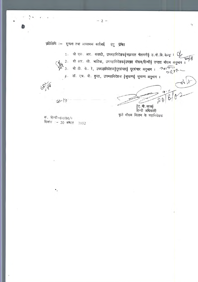प्रतिलिपि :- सूचना तथा आवश्यक कार्रवाई रुंतु प्रेषित

> श्री एस. आर. क**लसी, उ**पमहानिदेशक≬चक्रवात चेतावनी≬ उ.गो.वि.केन्द्र । C<mark></mark>  $1$  .  $208$ श्री आर. सी. भाटिया, उपमहानिदेशक≬उपग्रह मोसम/हिन्दी≬ उपग्रह मौसम अनुभाग ।  $2.$  $3150$ श्री टी. के. रे, उपग्रहानिदेशक≬दूरसंचार) दूरसंचार अनुभाग ।  $3.$ डॉ. एच. वी. गुप्ता, उपमहानिदेशक ≬भूकम्प≬ भूकम्प अनुभाग ।  $\mathfrak{g}$ .

 $37.19$ 

 $20$ ≬ए.बी.लाल≬ हिन्दी अधिकारी कृते मौसम विज्ञान के महानिदेशक

Ŵ

सं. हिन्दी-84/86/1 दिनांक :- 20 अगस्त 2002